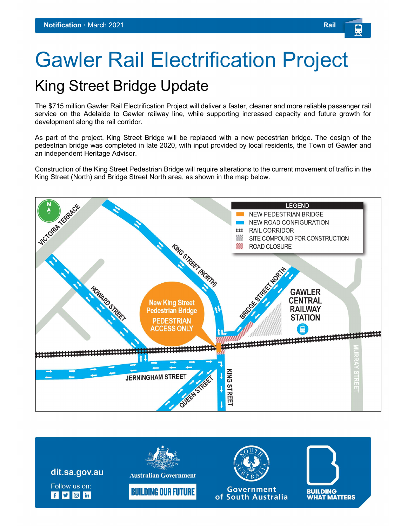# Gawler Rail Electrification Project

# King Street Bridge Update

The \$715 million Gawler Rail Electrification Project will deliver a faster, cleaner and more reliable passenger rail service on the Adelaide to Gawler railway line, while supporting increased capacity and future growth for development along the rail corridor.

As part of the project, King Street Bridge will be replaced with a new pedestrian bridge. The design of the pedestrian bridge was completed in late 2020, with input provided by local residents, the Town of Gawler and an independent Heritage Advisor.

Construction of the King Street Pedestrian Bridge will require alterations to the current movement of traffic in the King Street (North) and Bridge Street North area, as shown in the map below.